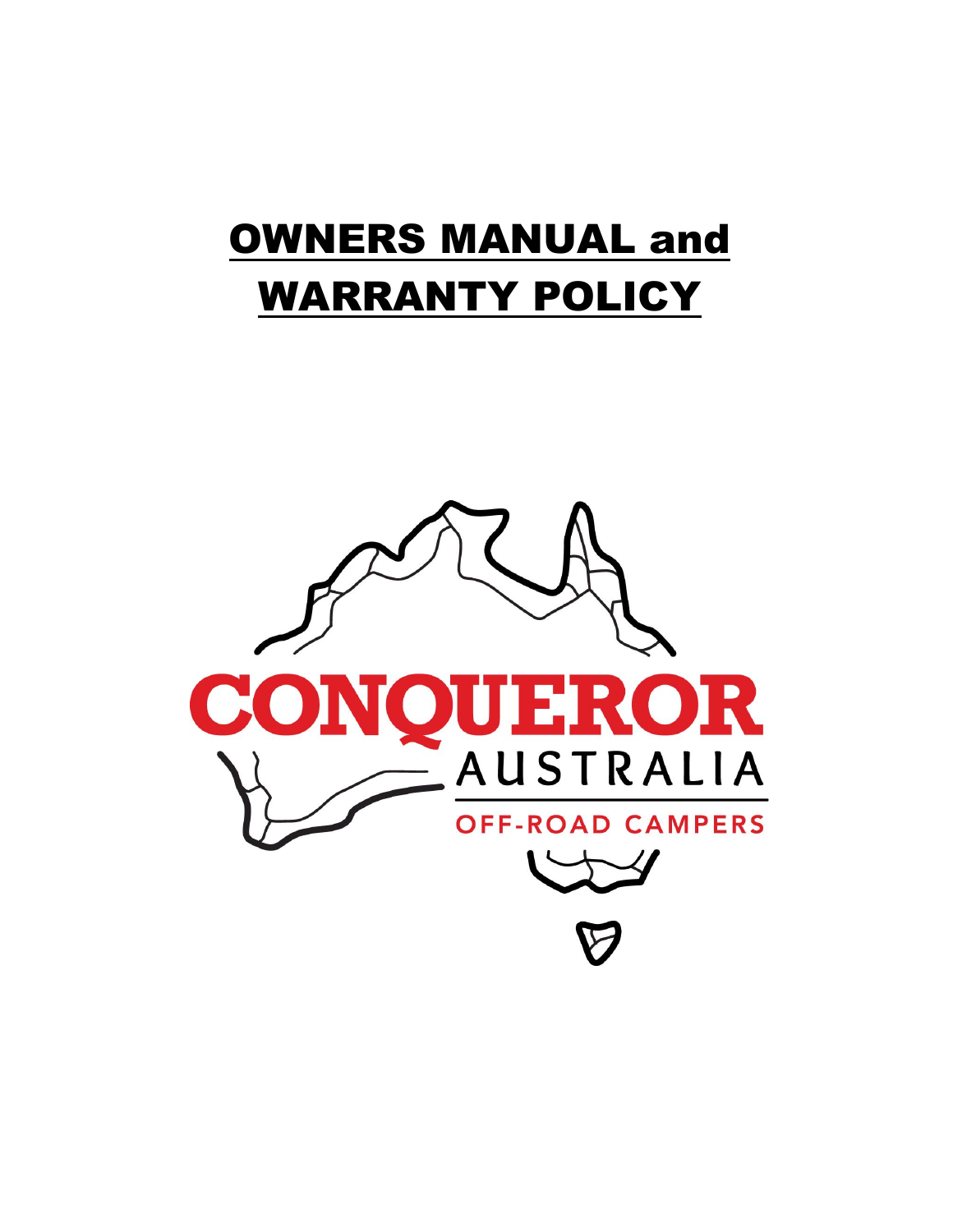# OWNERS MANUAL and WARRANTY POLICY

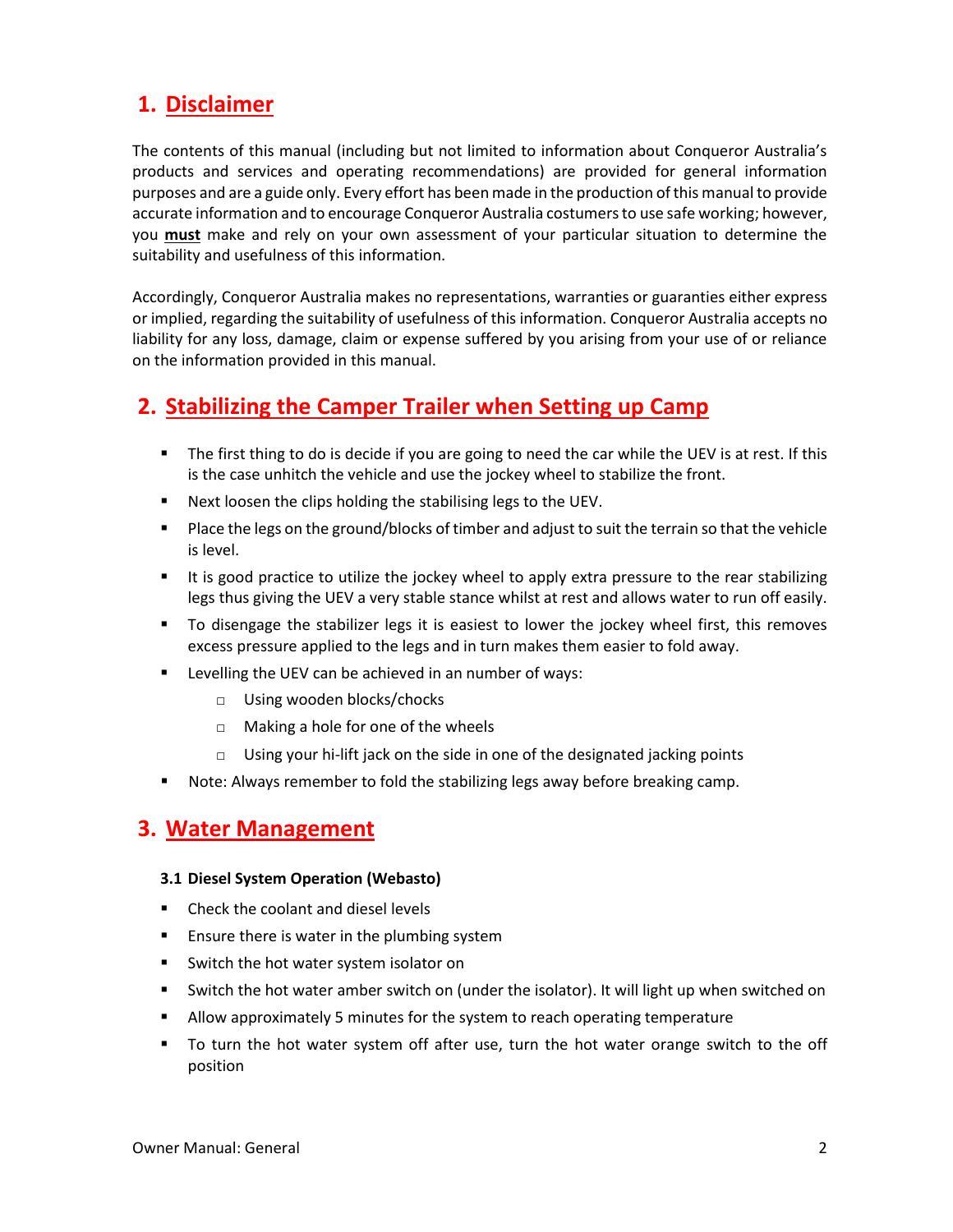# **1. Disclaimer**

The contents of this manual (including but not limited to information about Conqueror Australia's products and services and operating recommendations) are provided for general information purposes and are a guide only. Every effort has been made in the production of this manual to provide accurate information and to encourage Conqueror Australia costumers to use safe working; however, you **must** make and rely on your own assessment of your particular situation to determine the suitability and usefulness of this information.

Accordingly, Conqueror Australia makes no representations, warranties or guaranties either express or implied, regarding the suitability of usefulness of this information. Conqueror Australia accepts no liability for any loss, damage, claim or expense suffered by you arising from your use of or reliance on the information provided in this manual.

# **2. Stabilizing the Camper Trailer when Setting up Camp**

- The first thing to do is decide if you are going to need the car while the UEV is at rest. If this is the case unhitch the vehicle and use the jockey wheel to stabilize the front.
- Next loosen the clips holding the stabilising legs to the UEV.
- Place the legs on the ground/blocks of timber and adjust to suit the terrain so that the vehicle is level.
- It is good practice to utilize the jockey wheel to apply extra pressure to the rear stabilizing legs thus giving the UEV a very stable stance whilst at rest and allows water to run off easily.
- To disengage the stabilizer legs it is easiest to lower the jockey wheel first, this removes excess pressure applied to the legs and in turn makes them easier to fold away.
- Levelling the UEV can be achieved in an number of ways:
	- □ Using wooden blocks/chocks
	- □ Making a hole for one of the wheels
	- $\Box$  Using your hi-lift jack on the side in one of the designated jacking points
- Note: Always remember to fold the stabilizing legs away before breaking camp.

# **3. Water Management**

# **3.1 Diesel System Operation (Webasto)**

- Check the coolant and diesel levels
- Ensure there is water in the plumbing system
- Switch the hot water system isolator on
- Switch the hot water amber switch on (under the isolator). It will light up when switched on
- Allow approximately 5 minutes for the system to reach operating temperature
- To turn the hot water system off after use, turn the hot water orange switch to the off position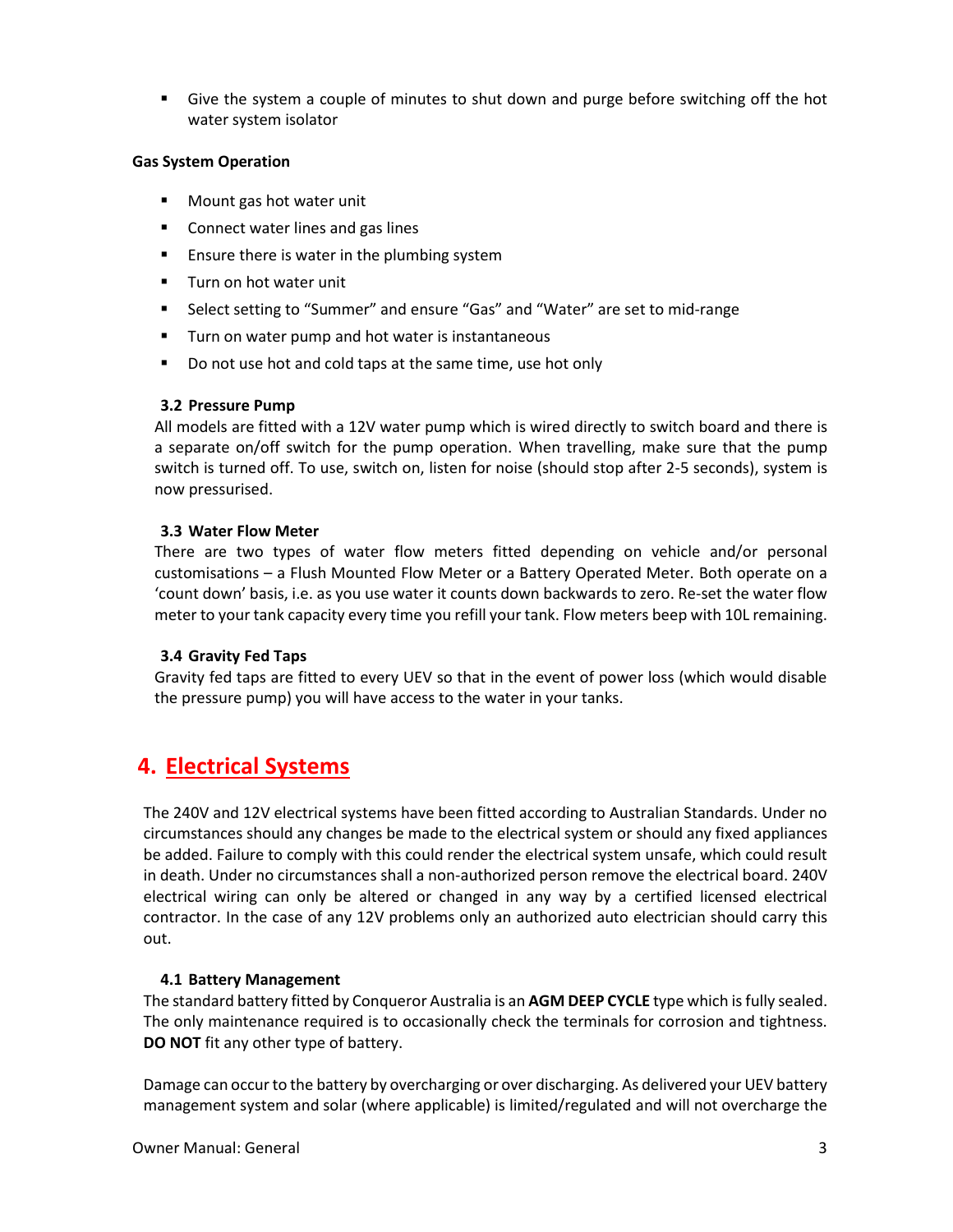■ Give the system a couple of minutes to shut down and purge before switching off the hot water system isolator

# **Gas System Operation**

- Mount gas hot water unit
- Connect water lines and gas lines
- Ensure there is water in the plumbing system
- Turn on hot water unit
- Select setting to "Summer" and ensure "Gas" and "Water" are set to mid-range
- Turn on water pump and hot water is instantaneous
- Do not use hot and cold taps at the same time, use hot only

# **3.2 Pressure Pump**

All models are fitted with a 12V water pump which is wired directly to switch board and there is a separate on/off switch for the pump operation. When travelling, make sure that the pump switch is turned off. To use, switch on, listen for noise (should stop after 2-5 seconds), system is now pressurised.

# **3.3 Water Flow Meter**

There are two types of water flow meters fitted depending on vehicle and/or personal customisations – a Flush Mounted Flow Meter or a Battery Operated Meter. Both operate on a 'count down' basis, i.e. as you use water it counts down backwards to zero. Re-set the water flow meter to your tank capacity every time you refill your tank. Flow meters beep with 10L remaining.

# **3.4 Gravity Fed Taps**

Gravity fed taps are fitted to every UEV so that in the event of power loss (which would disable the pressure pump) you will have access to the water in your tanks.

# **4. Electrical Systems**

The 240V and 12V electrical systems have been fitted according to Australian Standards. Under no circumstances should any changes be made to the electrical system or should any fixed appliances be added. Failure to comply with this could render the electrical system unsafe, which could result in death. Under no circumstances shall a non-authorized person remove the electrical board. 240V electrical wiring can only be altered or changed in any way by a certified licensed electrical contractor. In the case of any 12V problems only an authorized auto electrician should carry this out.

# **4.1 Battery Management**

The standard battery fitted by Conqueror Australia is an **AGM DEEP CYCLE** type which is fully sealed. The only maintenance required is to occasionally check the terminals for corrosion and tightness. **DO NOT** fit any other type of battery.

Damage can occur to the battery by overcharging or over discharging. As delivered your UEV battery management system and solar (where applicable) is limited/regulated and will not overcharge the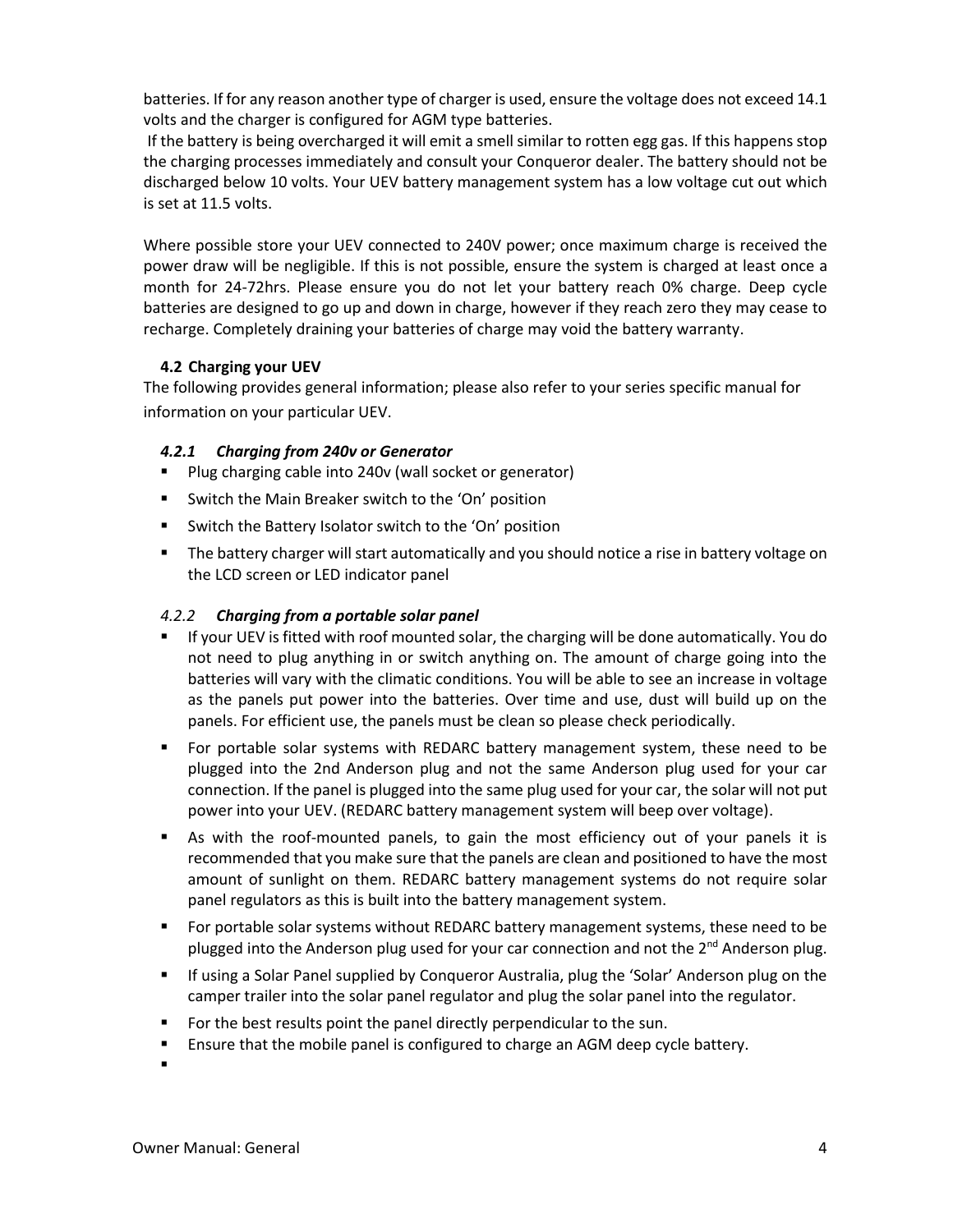batteries. If for any reason another type of charger is used, ensure the voltage does not exceed 14.1 volts and the charger is configured for AGM type batteries.

If the battery is being overcharged it will emit a smell similar to rotten egg gas. If this happens stop the charging processes immediately and consult your Conqueror dealer. The battery should not be discharged below 10 volts. Your UEV battery management system has a low voltage cut out which is set at 11.5 volts.

Where possible store your UEV connected to 240V power; once maximum charge is received the power draw will be negligible. If this is not possible, ensure the system is charged at least once a month for 24-72hrs. Please ensure you do not let your battery reach 0% charge. Deep cycle batteries are designed to go up and down in charge, however if they reach zero they may cease to recharge. Completely draining your batteries of charge may void the battery warranty.

# **4.2 Charging your UEV**

The following provides general information; please also refer to your series specific manual for information on your particular UEV.

# *4.2.1 Charging from 240v or Generator*

- Plug charging cable into 240v (wall socket or generator)
- Switch the Main Breaker switch to the 'On' position
- Switch the Battery Isolator switch to the 'On' position
- The battery charger will start automatically and you should notice a rise in battery voltage on the LCD screen or LED indicator panel

# *4.2.2 Charging from a portable solar panel*

- If your UEV is fitted with roof mounted solar, the charging will be done automatically. You do not need to plug anything in or switch anything on. The amount of charge going into the batteries will vary with the climatic conditions. You will be able to see an increase in voltage as the panels put power into the batteries. Over time and use, dust will build up on the panels. For efficient use, the panels must be clean so please check periodically.
- For portable solar systems with REDARC battery management system, these need to be plugged into the 2nd Anderson plug and not the same Anderson plug used for your car connection. If the panel is plugged into the same plug used for your car, the solar will not put power into your UEV. (REDARC battery management system will beep over voltage).
- As with the roof-mounted panels, to gain the most efficiency out of your panels it is recommended that you make sure that the panels are clean and positioned to have the most amount of sunlight on them. REDARC battery management systems do not require solar panel regulators as this is built into the battery management system.
- For portable solar systems without REDARC battery management systems, these need to be plugged into the Anderson plug used for your car connection and not the 2<sup>nd</sup> Anderson plug.
- **E** If using a Solar Panel supplied by Conqueror Australia, plug the 'Solar' Anderson plug on the camper trailer into the solar panel regulator and plug the solar panel into the regulator.
- For the best results point the panel directly perpendicular to the sun.
- **E** Ensure that the mobile panel is configured to charge an AGM deep cycle battery.
- ▪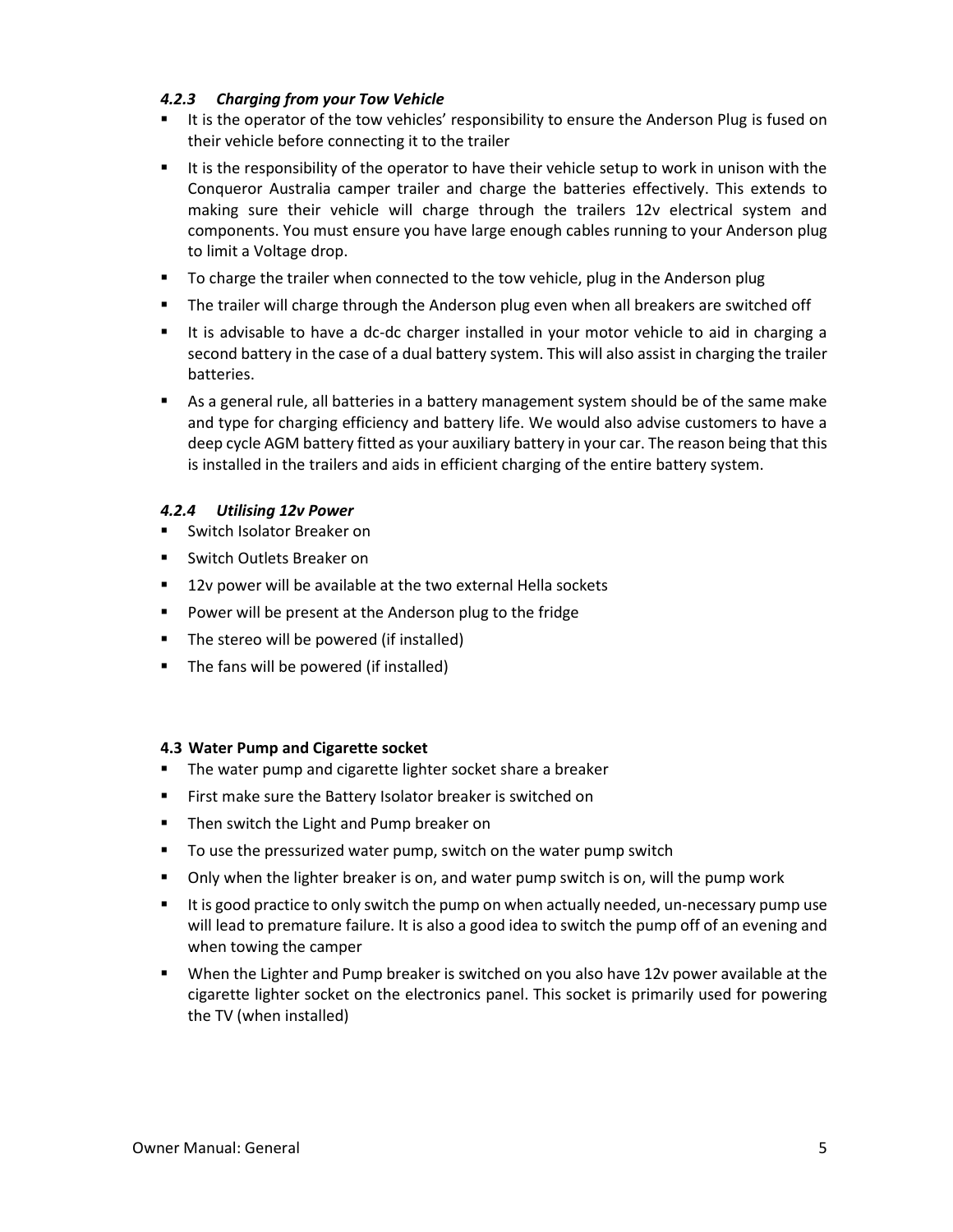# *4.2.3 Charging from your Tow Vehicle*

- It is the operator of the tow vehicles' responsibility to ensure the Anderson Plug is fused on their vehicle before connecting it to the trailer
- It is the responsibility of the operator to have their vehicle setup to work in unison with the Conqueror Australia camper trailer and charge the batteries effectively. This extends to making sure their vehicle will charge through the trailers 12v electrical system and components. You must ensure you have large enough cables running to your Anderson plug to limit a Voltage drop.
- To charge the trailer when connected to the tow vehicle, plug in the Anderson plug
- The trailer will charge through the Anderson plug even when all breakers are switched off
- It is advisable to have a dc-dc charger installed in your motor vehicle to aid in charging a second battery in the case of a dual battery system. This will also assist in charging the trailer batteries.
- As a general rule, all batteries in a battery management system should be of the same make and type for charging efficiency and battery life. We would also advise customers to have a deep cycle AGM battery fitted as your auxiliary battery in your car. The reason being that this is installed in the trailers and aids in efficient charging of the entire battery system.

# *4.2.4 Utilising 12v Power*

- Switch Isolator Breaker on
- Switch Outlets Breaker on
- 12v power will be available at the two external Hella sockets
- Power will be present at the Anderson plug to the fridge
- The stereo will be powered (if installed)
- The fans will be powered (if installed)

# **4.3 Water Pump and Cigarette socket**

- The water pump and cigarette lighter socket share a breaker
- First make sure the Battery Isolator breaker is switched on
- Then switch the Light and Pump breaker on
- To use the pressurized water pump, switch on the water pump switch
- Only when the lighter breaker is on, and water pump switch is on, will the pump work
- It is good practice to only switch the pump on when actually needed, un-necessary pump use will lead to premature failure. It is also a good idea to switch the pump off of an evening and when towing the camper
- When the Lighter and Pump breaker is switched on you also have 12v power available at the cigarette lighter socket on the electronics panel. This socket is primarily used for powering the TV (when installed)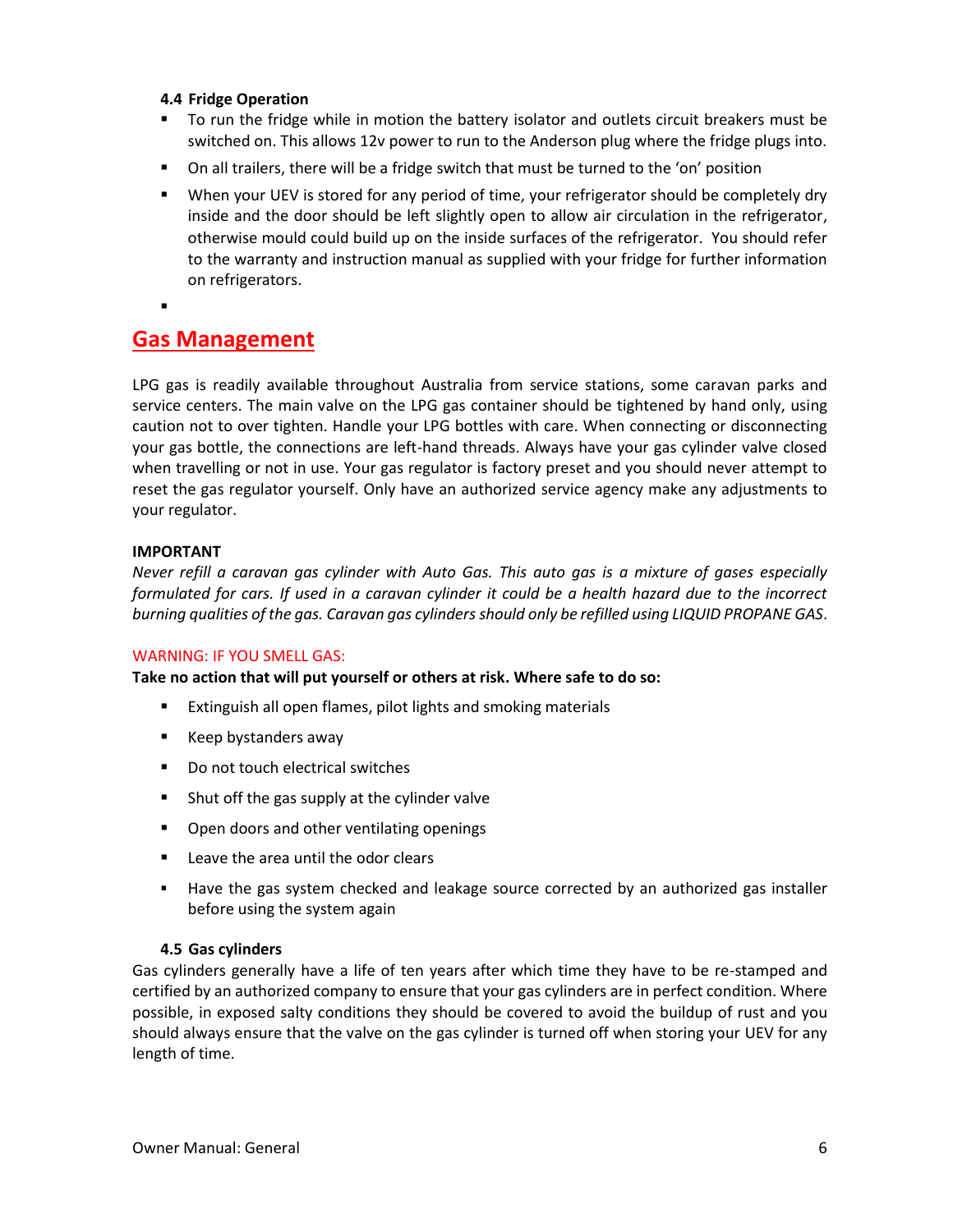# **4.4 Fridge Operation**

- To run the fridge while in motion the battery isolator and outlets circuit breakers must be switched on. This allows 12v power to run to the Anderson plug where the fridge plugs into.
- On all trailers, there will be a fridge switch that must be turned to the 'on' position
- When your UEV is stored for any period of time, your refrigerator should be completely dry inside and the door should be left slightly open to allow air circulation in the refrigerator, otherwise mould could build up on the inside surfaces of the refrigerator. You should refer to the warranty and instruction manual as supplied with your fridge for further information on refrigerators.
- ▪

# **Gas Management**

LPG gas is readily available throughout Australia from service stations, some caravan parks and service centers. The main valve on the LPG gas container should be tightened by hand only, using caution not to over tighten. Handle your LPG bottles with care. When connecting or disconnecting your gas bottle, the connections are left-hand threads. Always have your gas cylinder valve closed when travelling or not in use. Your gas regulator is factory preset and you should never attempt to reset the gas regulator yourself. Only have an authorized service agency make any adjustments to your regulator.

#### **IMPORTANT**

*Never refill a caravan gas cylinder with Auto Gas. This auto gas is a mixture of gases especially formulated for cars. If used in a caravan cylinder it could be a health hazard due to the incorrect burning qualities of the gas. Caravan gas cylinders should only be refilled using LIQUID PROPANE GAS*.

#### WARNING: IF YOU SMELL GAS:

**Take no action that will put yourself or others at risk. Where safe to do so:**

- Extinguish all open flames, pilot lights and smoking materials
- Keep bystanders away
- Do not touch electrical switches
- Shut off the gas supply at the cylinder valve
- Open doors and other ventilating openings
- Leave the area until the odor clears
- Have the gas system checked and leakage source corrected by an authorized gas installer before using the system again

#### **4.5 Gas cylinders**

Gas cylinders generally have a life of ten years after which time they have to be re-stamped and certified by an authorized company to ensure that your gas cylinders are in perfect condition. Where possible, in exposed salty conditions they should be covered to avoid the buildup of rust and you should always ensure that the valve on the gas cylinder is turned off when storing your UEV for any length of time.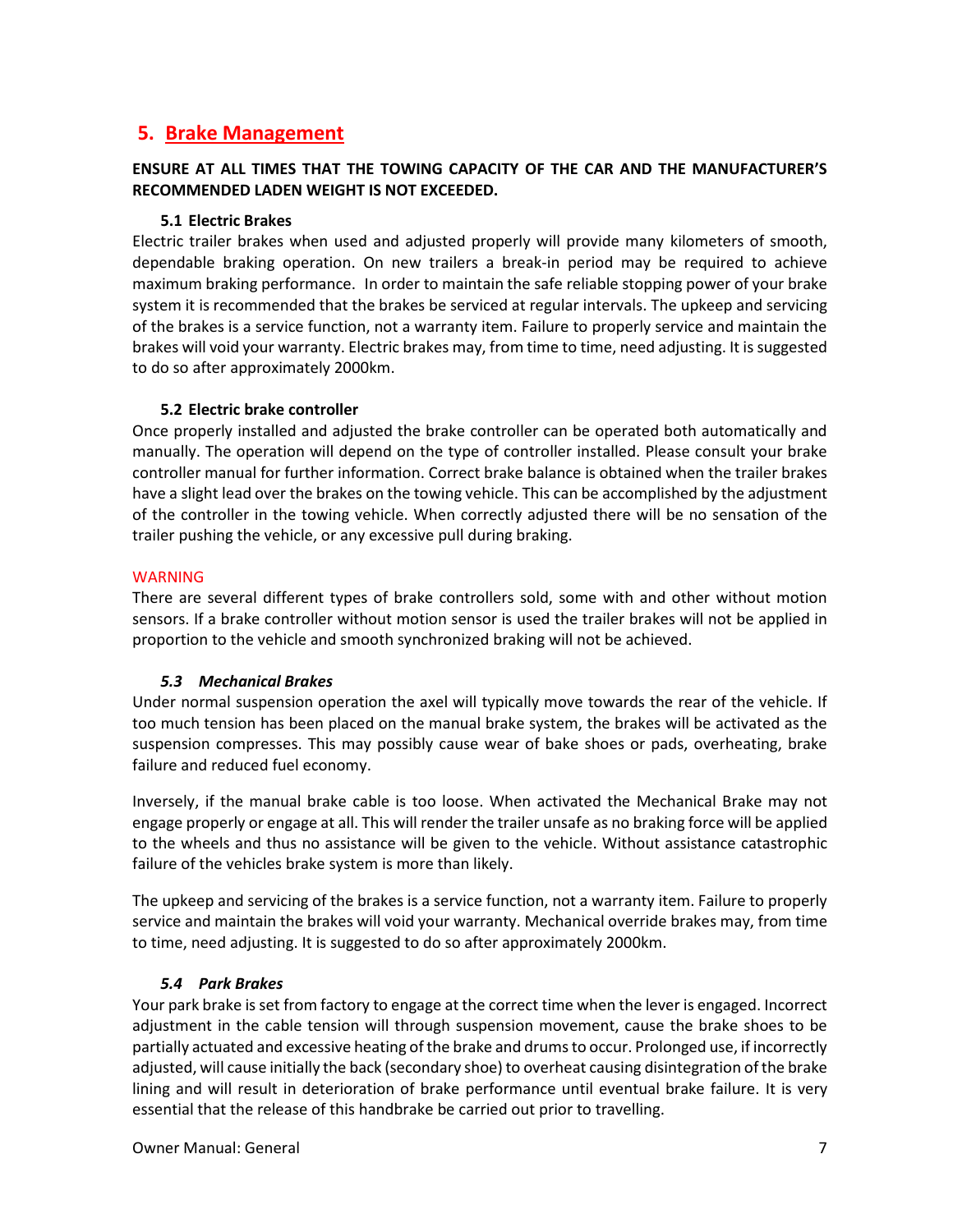# **5. Brake Management**

# **ENSURE AT ALL TIMES THAT THE TOWING CAPACITY OF THE CAR AND THE MANUFACTURER'S RECOMMENDED LADEN WEIGHT IS NOT EXCEEDED.**

# **5.1 Electric Brakes**

Electric trailer brakes when used and adjusted properly will provide many kilometers of smooth, dependable braking operation. On new trailers a break-in period may be required to achieve maximum braking performance. In order to maintain the safe reliable stopping power of your brake system it is recommended that the brakes be serviced at regular intervals. The upkeep and servicing of the brakes is a service function, not a warranty item. Failure to properly service and maintain the brakes will void your warranty. Electric brakes may, from time to time, need adjusting. It is suggested to do so after approximately 2000km.

# **5.2 Electric brake controller**

Once properly installed and adjusted the brake controller can be operated both automatically and manually. The operation will depend on the type of controller installed. Please consult your brake controller manual for further information. Correct brake balance is obtained when the trailer brakes have a slight lead over the brakes on the towing vehicle. This can be accomplished by the adjustment of the controller in the towing vehicle. When correctly adjusted there will be no sensation of the trailer pushing the vehicle, or any excessive pull during braking.

#### **WARNING**

There are several different types of brake controllers sold, some with and other without motion sensors. If a brake controller without motion sensor is used the trailer brakes will not be applied in proportion to the vehicle and smooth synchronized braking will not be achieved.

# *5.3 Mechanical Brakes*

Under normal suspension operation the axel will typically move towards the rear of the vehicle. If too much tension has been placed on the manual brake system, the brakes will be activated as the suspension compresses. This may possibly cause wear of bake shoes or pads, overheating, brake failure and reduced fuel economy.

Inversely, if the manual brake cable is too loose. When activated the Mechanical Brake may not engage properly or engage at all. This will render the trailer unsafe as no braking force will be applied to the wheels and thus no assistance will be given to the vehicle. Without assistance catastrophic failure of the vehicles brake system is more than likely.

The upkeep and servicing of the brakes is a service function, not a warranty item. Failure to properly service and maintain the brakes will void your warranty. Mechanical override brakes may, from time to time, need adjusting. It is suggested to do so after approximately 2000km.

# *5.4 Park Brakes*

Your park brake is set from factory to engage at the correct time when the lever is engaged. Incorrect adjustment in the cable tension will through suspension movement, cause the brake shoes to be partially actuated and excessive heating of the brake and drums to occur. Prolonged use, if incorrectly adjusted, will cause initially the back (secondary shoe) to overheat causing disintegration of the brake lining and will result in deterioration of brake performance until eventual brake failure. It is very essential that the release of this handbrake be carried out prior to travelling.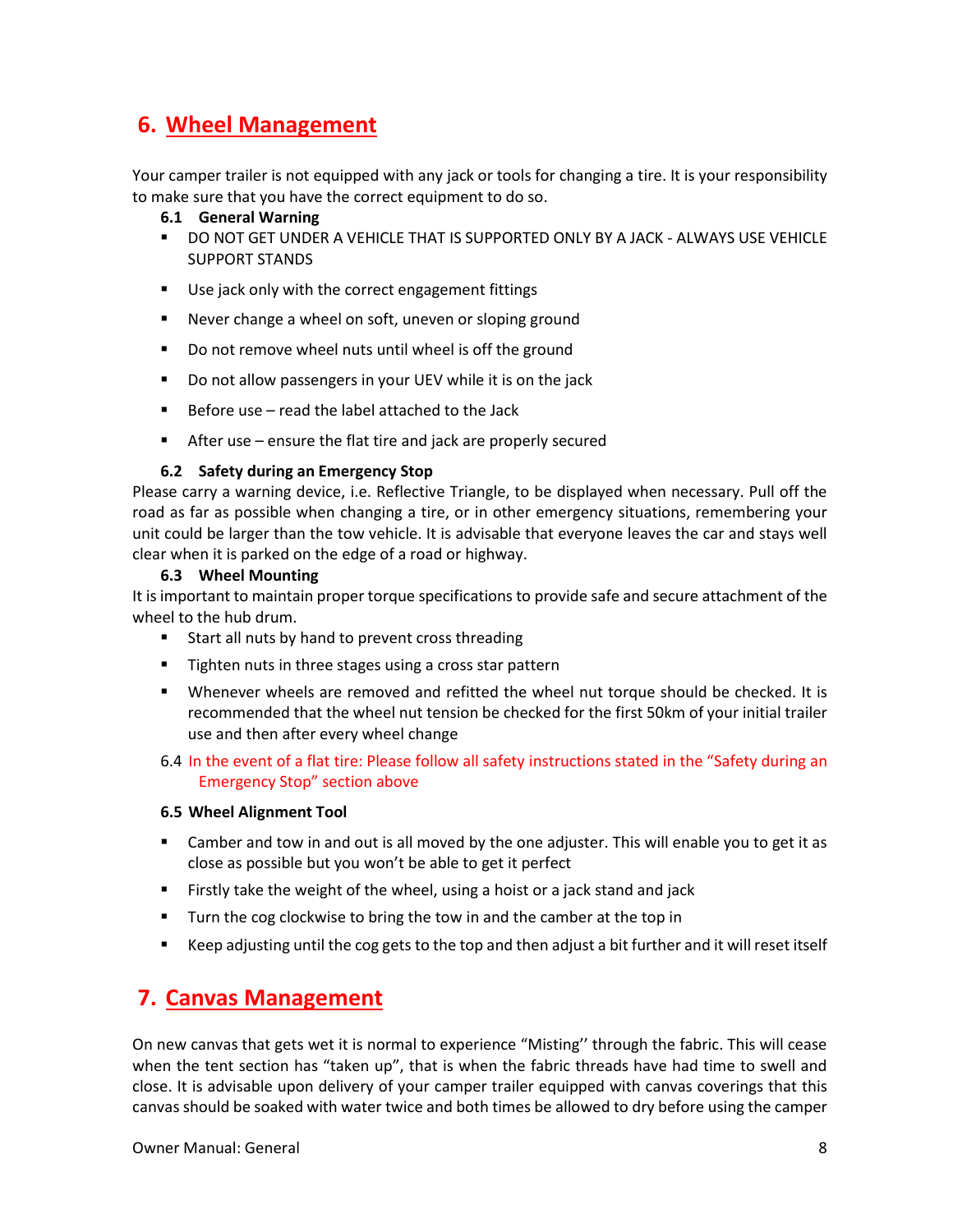# **6. Wheel Management**

Your camper trailer is not equipped with any jack or tools for changing a tire. It is your responsibility to make sure that you have the correct equipment to do so.

- **6.1 General Warning**
- DO NOT GET UNDER A VEHICLE THAT IS SUPPORTED ONLY BY A JACK ALWAYS USE VEHICLE SUPPORT STANDS
- Use jack only with the correct engagement fittings
- Never change a wheel on soft, uneven or sloping ground
- Do not remove wheel nuts until wheel is off the ground
- Do not allow passengers in your UEV while it is on the jack
- Before use read the label attached to the Jack
- After use ensure the flat tire and jack are properly secured

# **6.2 Safety during an Emergency Stop**

Please carry a warning device, i.e. Reflective Triangle, to be displayed when necessary. Pull off the road as far as possible when changing a tire, or in other emergency situations, remembering your unit could be larger than the tow vehicle. It is advisable that everyone leaves the car and stays well clear when it is parked on the edge of a road or highway.

# **6.3 Wheel Mounting**

It is important to maintain proper torque specifications to provide safe and secure attachment of the wheel to the hub drum.

- Start all nuts by hand to prevent cross threading
- Tighten nuts in three stages using a cross star pattern
- Whenever wheels are removed and refitted the wheel nut torque should be checked. It is recommended that the wheel nut tension be checked for the first 50km of your initial trailer use and then after every wheel change
- 6.4 In the event of a flat tire: Please follow all safety instructions stated in the "Safety during an Emergency Stop" section above

# **6.5 Wheel Alignment Tool**

- Camber and tow in and out is all moved by the one adjuster. This will enable you to get it as close as possible but you won't be able to get it perfect
- Firstly take the weight of the wheel, using a hoist or a jack stand and jack
- Turn the cog clockwise to bring the tow in and the camber at the top in
- Keep adjusting until the cog gets to the top and then adjust a bit further and it will reset itself

# **7. Canvas Management**

On new canvas that gets wet it is normal to experience "Misting'' through the fabric. This will cease when the tent section has "taken up", that is when the fabric threads have had time to swell and close. It is advisable upon delivery of your camper trailer equipped with canvas coverings that this canvas should be soaked with water twice and both times be allowed to dry before using the camper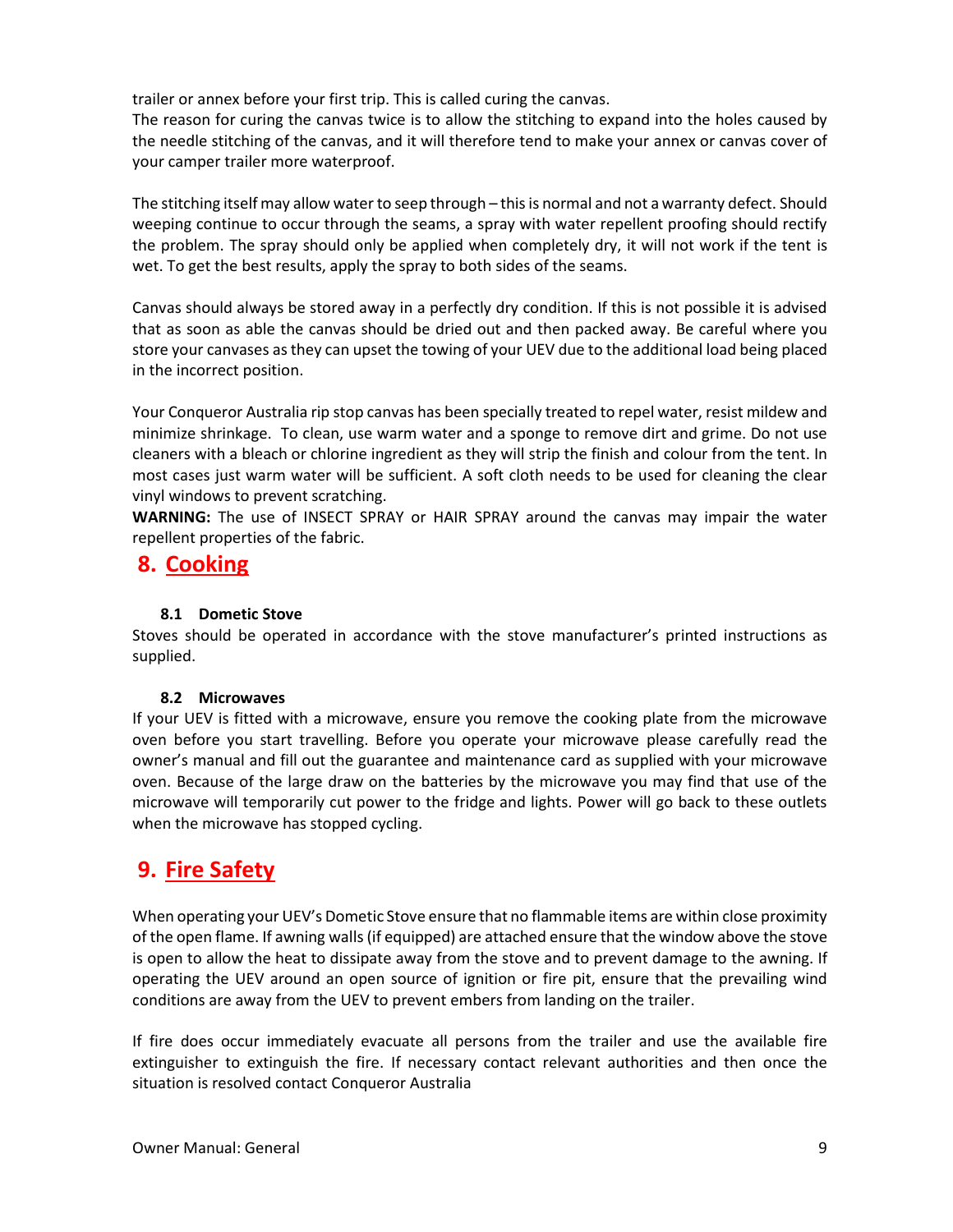trailer or annex before your first trip. This is called curing the canvas.

The reason for curing the canvas twice is to allow the stitching to expand into the holes caused by the needle stitching of the canvas, and it will therefore tend to make your annex or canvas cover of your camper trailer more waterproof.

The stitching itself may allow water to seep through – this is normal and not a warranty defect. Should weeping continue to occur through the seams, a spray with water repellent proofing should rectify the problem. The spray should only be applied when completely dry, it will not work if the tent is wet. To get the best results, apply the spray to both sides of the seams.

Canvas should always be stored away in a perfectly dry condition. If this is not possible it is advised that as soon as able the canvas should be dried out and then packed away. Be careful where you store your canvases as they can upset the towing of your UEV due to the additional load being placed in the incorrect position.

Your Conqueror Australia rip stop canvas has been specially treated to repel water, resist mildew and minimize shrinkage. To clean, use warm water and a sponge to remove dirt and grime. Do not use cleaners with a bleach or chlorine ingredient as they will strip the finish and colour from the tent. In most cases just warm water will be sufficient. A soft cloth needs to be used for cleaning the clear vinyl windows to prevent scratching.

**WARNING:** The use of INSECT SPRAY or HAIR SPRAY around the canvas may impair the water repellent properties of the fabric.

# **8. Cooking**

# **8.1 Dometic Stove**

Stoves should be operated in accordance with the stove manufacturer's printed instructions as supplied.

# **8.2 Microwaves**

If your UEV is fitted with a microwave, ensure you remove the cooking plate from the microwave oven before you start travelling. Before you operate your microwave please carefully read the owner's manual and fill out the guarantee and maintenance card as supplied with your microwave oven. Because of the large draw on the batteries by the microwave you may find that use of the microwave will temporarily cut power to the fridge and lights. Power will go back to these outlets when the microwave has stopped cycling.

# **9. Fire Safety**

When operating your UEV's Dometic Stove ensure that no flammable items are within close proximity of the open flame. If awning walls (if equipped) are attached ensure that the window above the stove is open to allow the heat to dissipate away from the stove and to prevent damage to the awning. If operating the UEV around an open source of ignition or fire pit, ensure that the prevailing wind conditions are away from the UEV to prevent embers from landing on the trailer.

If fire does occur immediately evacuate all persons from the trailer and use the available fire extinguisher to extinguish the fire. If necessary contact relevant authorities and then once the situation is resolved contact Conqueror Australia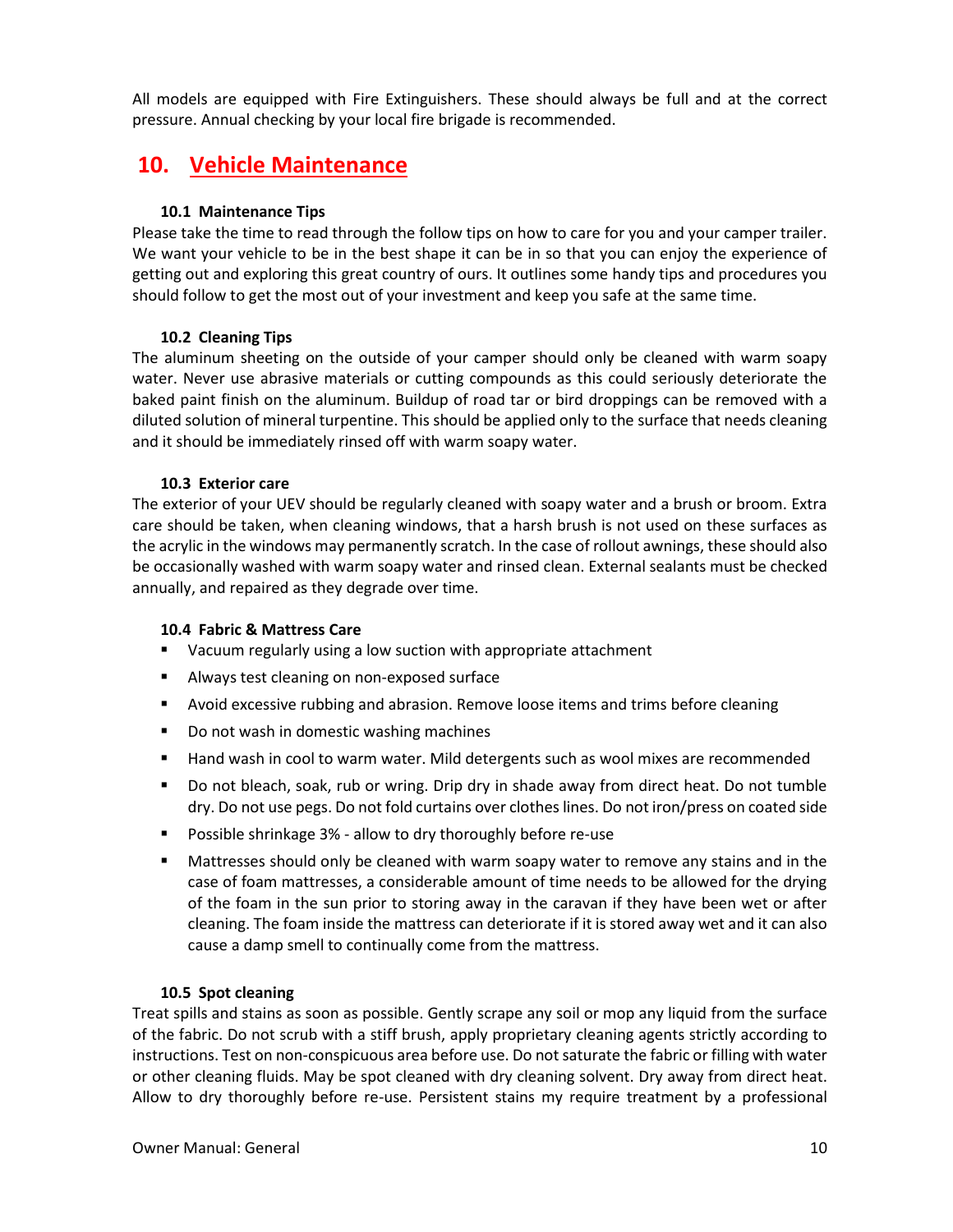All models are equipped with Fire Extinguishers. These should always be full and at the correct pressure. Annual checking by your local fire brigade is recommended.

# **10. Vehicle Maintenance**

# **10.1 Maintenance Tips**

Please take the time to read through the follow tips on how to care for you and your camper trailer. We want your vehicle to be in the best shape it can be in so that you can enjoy the experience of getting out and exploring this great country of ours. It outlines some handy tips and procedures you should follow to get the most out of your investment and keep you safe at the same time.

# **10.2 Cleaning Tips**

The aluminum sheeting on the outside of your camper should only be cleaned with warm soapy water. Never use abrasive materials or cutting compounds as this could seriously deteriorate the baked paint finish on the aluminum. Buildup of road tar or bird droppings can be removed with a diluted solution of mineral turpentine. This should be applied only to the surface that needs cleaning and it should be immediately rinsed off with warm soapy water.

# **10.3 Exterior care**

The exterior of your UEV should be regularly cleaned with soapy water and a brush or broom. Extra care should be taken, when cleaning windows, that a harsh brush is not used on these surfaces as the acrylic in the windows may permanently scratch. In the case of rollout awnings, these should also be occasionally washed with warm soapy water and rinsed clean. External sealants must be checked annually, and repaired as they degrade over time.

# **10.4 Fabric & Mattress Care**

- Vacuum regularly using a low suction with appropriate attachment
- Always test cleaning on non-exposed surface
- Avoid excessive rubbing and abrasion. Remove loose items and trims before cleaning
- Do not wash in domestic washing machines
- Hand wash in cool to warm water. Mild detergents such as wool mixes are recommended
- Do not bleach, soak, rub or wring. Drip dry in shade away from direct heat. Do not tumble dry. Do not use pegs. Do not fold curtains over clothes lines. Do not iron/press on coated side
- Possible shrinkage 3% allow to dry thoroughly before re-use
- Mattresses should only be cleaned with warm soapy water to remove any stains and in the case of foam mattresses, a considerable amount of time needs to be allowed for the drying of the foam in the sun prior to storing away in the caravan if they have been wet or after cleaning. The foam inside the mattress can deteriorate if it is stored away wet and it can also cause a damp smell to continually come from the mattress.

# **10.5 Spot cleaning**

Treat spills and stains as soon as possible. Gently scrape any soil or mop any liquid from the surface of the fabric. Do not scrub with a stiff brush, apply proprietary cleaning agents strictly according to instructions. Test on non-conspicuous area before use. Do not saturate the fabric or filling with water or other cleaning fluids. May be spot cleaned with dry cleaning solvent. Dry away from direct heat. Allow to dry thoroughly before re-use. Persistent stains my require treatment by a professional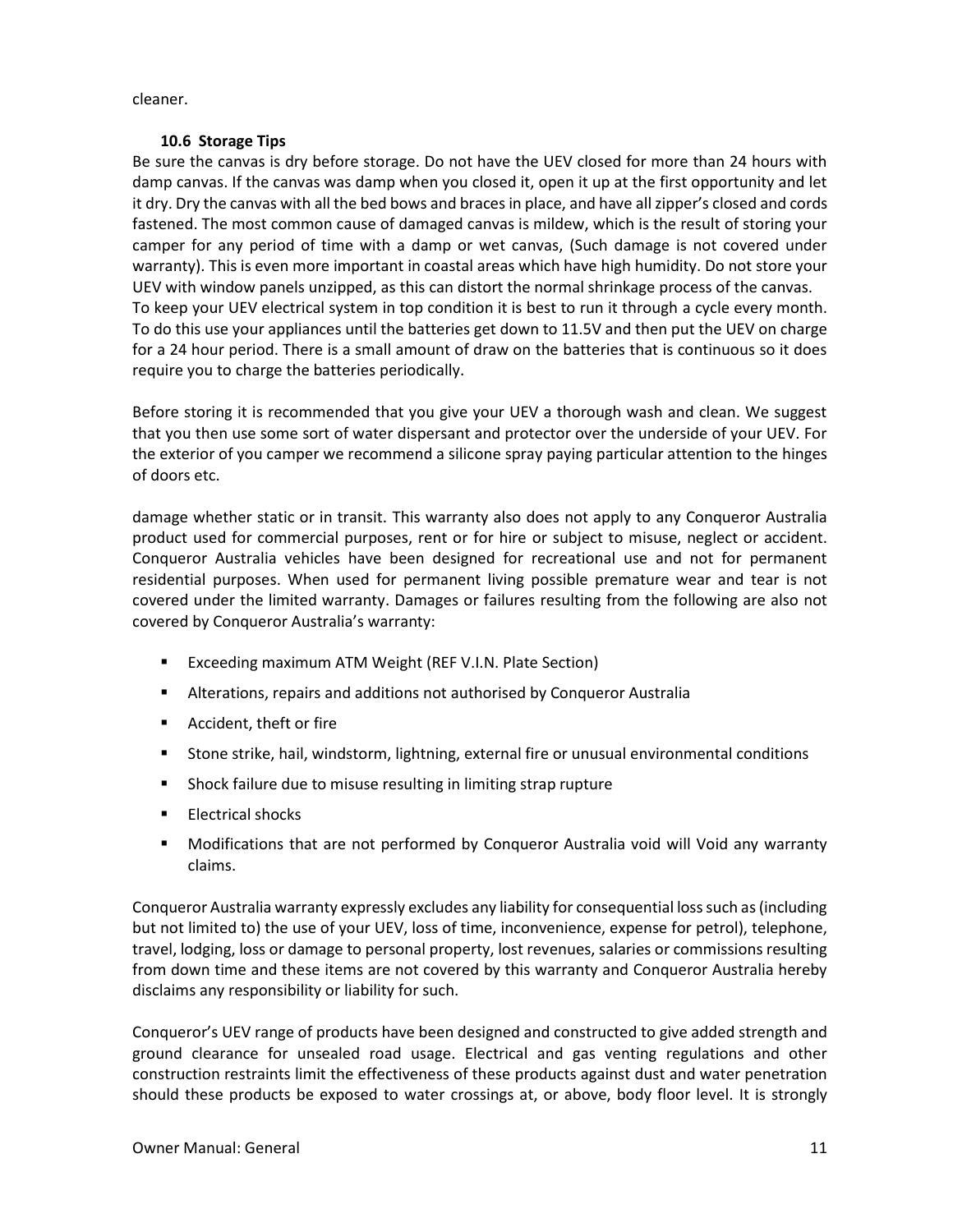cleaner.

# **10.6 Storage Tips**

Be sure the canvas is dry before storage. Do not have the UEV closed for more than 24 hours with damp canvas. If the canvas was damp when you closed it, open it up at the first opportunity and let it dry. Dry the canvas with all the bed bows and braces in place, and have all zipper's closed and cords fastened. The most common cause of damaged canvas is mildew, which is the result of storing your camper for any period of time with a damp or wet canvas, (Such damage is not covered under warranty). This is even more important in coastal areas which have high humidity. Do not store your UEV with window panels unzipped, as this can distort the normal shrinkage process of the canvas. To keep your UEV electrical system in top condition it is best to run it through a cycle every month. To do this use your appliances until the batteries get down to 11.5V and then put the UEV on charge for a 24 hour period. There is a small amount of draw on the batteries that is continuous so it does require you to charge the batteries periodically.

Before storing it is recommended that you give your UEV a thorough wash and clean. We suggest that you then use some sort of water dispersant and protector over the underside of your UEV. For the exterior of you camper we recommend a silicone spray paying particular attention to the hinges of doors etc.

damage whether static or in transit. This warranty also does not apply to any Conqueror Australia product used for commercial purposes, rent or for hire or subject to misuse, neglect or accident. Conqueror Australia vehicles have been designed for recreational use and not for permanent residential purposes. When used for permanent living possible premature wear and tear is not covered under the limited warranty. Damages or failures resulting from the following are also not covered by Conqueror Australia's warranty:

- Exceeding maximum ATM Weight (REF V.I.N. Plate Section)
- Alterations, repairs and additions not authorised by Conqueror Australia
- Accident, theft or fire
- Stone strike, hail, windstorm, lightning, external fire or unusual environmental conditions
- Shock failure due to misuse resulting in limiting strap rupture
- Electrical shocks
- Modifications that are not performed by Conqueror Australia void will Void any warranty claims.

Conqueror Australia warranty expressly excludes any liability for consequential loss such as (including but not limited to) the use of your UEV, loss of time, inconvenience, expense for petrol), telephone, travel, lodging, loss or damage to personal property, lost revenues, salaries or commissions resulting from down time and these items are not covered by this warranty and Conqueror Australia hereby disclaims any responsibility or liability for such.

Conqueror's UEV range of products have been designed and constructed to give added strength and ground clearance for unsealed road usage. Electrical and gas venting regulations and other construction restraints limit the effectiveness of these products against dust and water penetration should these products be exposed to water crossings at, or above, body floor level. It is strongly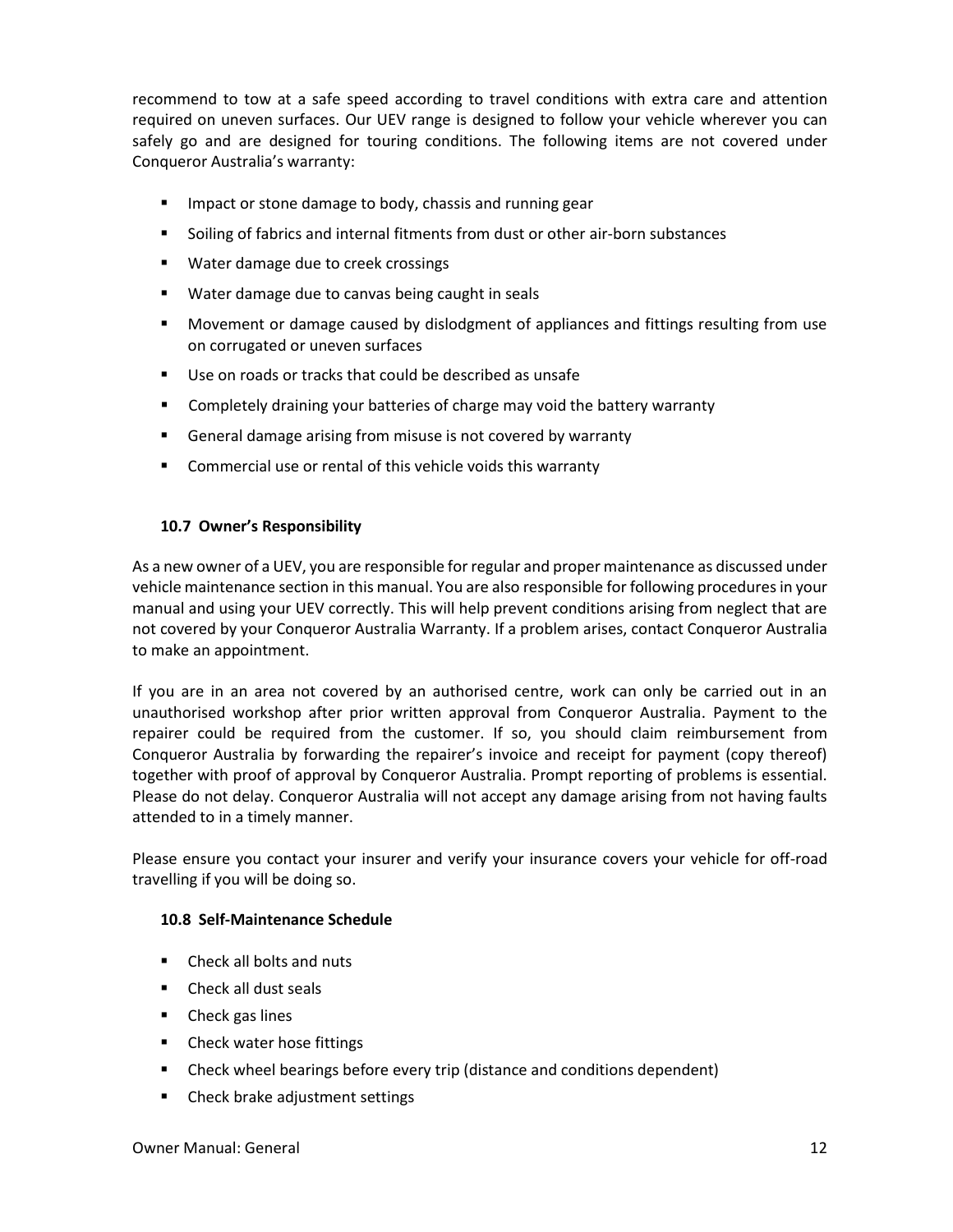recommend to tow at a safe speed according to travel conditions with extra care and attention required on uneven surfaces. Our UEV range is designed to follow your vehicle wherever you can safely go and are designed for touring conditions. The following items are not covered under Conqueror Australia's warranty:

- Impact or stone damage to body, chassis and running gear
- Soiling of fabrics and internal fitments from dust or other air-born substances
- Water damage due to creek crossings
- Water damage due to canvas being caught in seals
- Movement or damage caused by dislodgment of appliances and fittings resulting from use on corrugated or uneven surfaces
- Use on roads or tracks that could be described as unsafe
- Completely draining your batteries of charge may void the battery warranty
- General damage arising from misuse is not covered by warranty
- Commercial use or rental of this vehicle voids this warranty

# **10.7 Owner's Responsibility**

As a new owner of a UEV, you are responsible for regular and proper maintenance as discussed under vehicle maintenance section in this manual. You are also responsible for following procedures in your manual and using your UEV correctly. This will help prevent conditions arising from neglect that are not covered by your Conqueror Australia Warranty. If a problem arises, contact Conqueror Australia to make an appointment.

If you are in an area not covered by an authorised centre, work can only be carried out in an unauthorised workshop after prior written approval from Conqueror Australia. Payment to the repairer could be required from the customer. If so, you should claim reimbursement from Conqueror Australia by forwarding the repairer's invoice and receipt for payment (copy thereof) together with proof of approval by Conqueror Australia. Prompt reporting of problems is essential. Please do not delay. Conqueror Australia will not accept any damage arising from not having faults attended to in a timely manner.

Please ensure you contact your insurer and verify your insurance covers your vehicle for off-road travelling if you will be doing so.

# **10.8 Self-Maintenance Schedule**

- Check all bolts and nuts
- Check all dust seals
- Check gas lines
- Check water hose fittings
- Check wheel bearings before every trip (distance and conditions dependent)
- Check brake adjustment settings